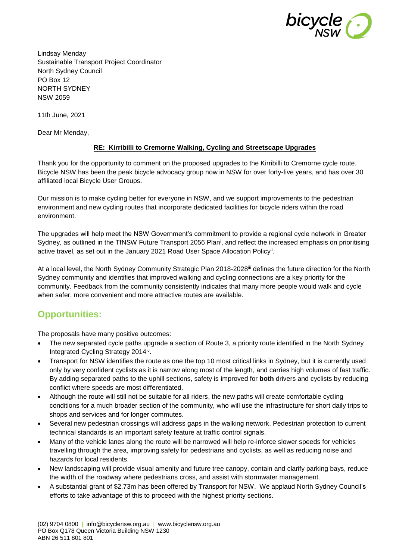

Lindsay Menday Sustainable Transport Project Coordinator North Sydney Council PO Box 12 NORTH SYDNEY NSW 2059

11th June, 2021

Dear Mr Menday,

### **RE: Kirribilli to Cremorne Walking, Cycling and Streetscape Upgrades**

Thank you for the opportunity to comment on the proposed upgrades to the Kirribilli to Cremorne cycle route. Bicycle NSW has been the peak bicycle advocacy group now in NSW for over forty-five years, and has over 30 affiliated local Bicycle User Groups.

Our mission is to make cycling better for everyone in NSW, and we support improvements to the pedestrian environment and new cycling routes that incorporate dedicated facilities for bicycle riders within the road environment.

The upgrades will help meet the NSW Government's commitment to provide a regional cycle network in Greater Sydney, as outlined in the TfNSW Future Transport 2056 Plan<sup>i</sup>, and reflect the increased emphasis on prioritising active travel, as set out in the January 2021 Road User Space Allocation Policy<sup>ii</sup>.

At a local level, the North Sydney Community Strategic Plan 2018-2028<sup>iii</sup> defines the future direction for the North Sydney community and identifies that improved walking and cycling connections are a key priority for the community. Feedback from the community consistently indicates that many more people would walk and cycle when safer, more convenient and more attractive routes are available.

# **Opportunities:**

The proposals have many positive outcomes:

- The new separated cycle paths upgrade a section of Route 3, a priority route identified in the North Sydney Integrated Cycling Strategy 2014<sup>iv</sup>.
- Transport for NSW identifies the route as one the top 10 most critical links in Sydney, but it is currently used only by very confident cyclists as it is narrow along most of the length, and carries high volumes of fast traffic. By adding separated paths to the uphill sections, safety is improved for **both** drivers and cyclists by reducing conflict where speeds are most differentiated.
- Although the route will still not be suitable for all riders, the new paths will create comfortable cycling conditions for a much broader section of the community, who will use the infrastructure for short daily trips to shops and services and for longer commutes.
- Several new pedestrian crossings will address gaps in the walking network. Pedestrian protection to current technical standards is an important safety feature at traffic control signals.
- Many of the vehicle lanes along the route will be narrowed will help re-inforce slower speeds for vehicles travelling through the area, improving safety for pedestrians and cyclists, as well as reducing noise and hazards for local residents.
- New landscaping will provide visual amenity and future tree canopy, contain and clarify parking bays, reduce the width of the roadway where pedestrians cross, and assist with stormwater management.
- A substantial grant of \$2.73m has been offered by Transport for NSW. We applaud North Sydney Council's efforts to take advantage of this to proceed with the highest priority sections.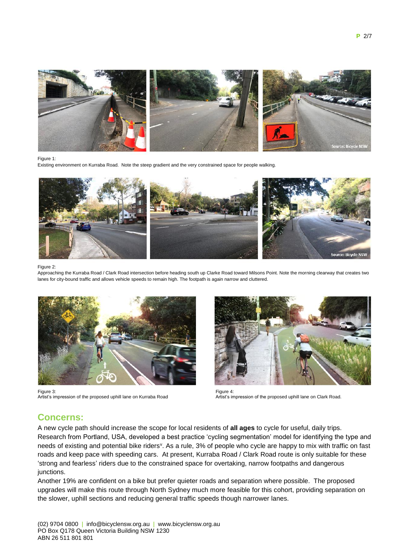

#### Figure 1:

Existing environment on Kurraba Road. Note the steep gradient and the very constrained space for people walking.



#### Figure 2:

Approaching the Kurraba Road / Clark Road intersection before heading south up Clarke Road toward Milsons Point. Note the morning clearway that creates two lanes for city-bound traffic and allows vehicle speeds to remain high. The footpath is again narrow and cluttered.



Figure 3: Artist's impression of the proposed uphill lane on Kurraba Road



Figure 4: Artist's impression of the proposed uphill lane on Clark Road.

### **Concerns:**

A new cycle path should increase the scope for local residents of **all ages** to cycle for useful, daily trips. Research from Portland, USA, developed a best practice 'cycling segmentation' model for identifying the type and needs of existing and potential bike riders<sup>v</sup>. As a rule, 3% of people who cycle are happy to mix with traffic on fast roads and keep pace with speeding cars. At present, Kurraba Road / Clark Road route is only suitable for these 'strong and fearless' riders due to the constrained space for overtaking, narrow footpaths and dangerous junctions.

Another 19% are confident on a bike but prefer quieter roads and separation where possible. The proposed upgrades will make this route through North Sydney much more feasible for this cohort, providing separation on the slower, uphill sections and reducing general traffic speeds though narrower lanes.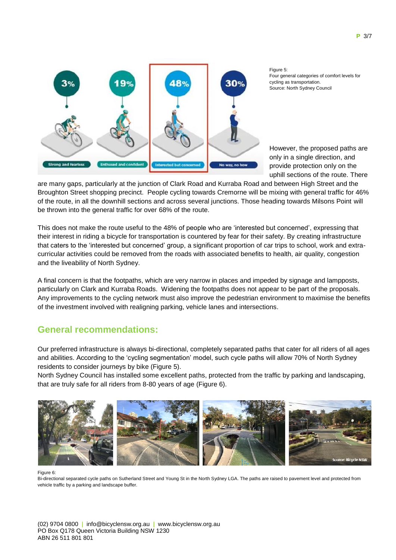

Figure 5: Four general categories of comfort levels for cycling as transportation. Source: North Sydney Council

However, the proposed paths are only in a single direction, and provide protection only on the uphill sections of the route. There

are many gaps, particularly at the junction of Clark Road and Kurraba Road and between High Street and the Broughton Street shopping precinct. People cycling towards Cremorne will be mixing with general traffic for 46% of the route, in all the downhill sections and across several junctions. Those heading towards Milsons Point will be thrown into the general traffic for over 68% of the route.

This does not make the route useful to the 48% of people who are 'interested but concerned', expressing that their interest in riding a bicycle for transportation is countered by fear for their safety. By creating infrastructure that caters to the 'interested but concerned' group, a significant proportion of car trips to school, work and extracurricular activities could be removed from the roads with associated benefits to health, air quality, congestion and the liveability of North Sydney.

A final concern is that the footpaths, which are very narrow in places and impeded by signage and lampposts, particularly on Clark and Kurraba Roads. Widening the footpaths does not appear to be part of the proposals. Any improvements to the cycling network must also improve the pedestrian environment to maximise the benefits of the investment involved with realigning parking, vehicle lanes and intersections.

## **General recommendations:**

Our preferred infrastructure is always bi-directional, completely separated paths that cater for all riders of all ages and abilities. According to the 'cycling segmentation' model, such cycle paths will allow 70% of North Sydney residents to consider journeys by bike (Figure 5).

North Sydney Council has installed some excellent paths, protected from the traffic by parking and landscaping, that are truly safe for all riders from 8-80 years of age (Figure 6).



Figure 6:

Bi-directional separated cycle paths on Sutherland Street and Young St in the North Sydney LGA. The paths are raised to pavement level and protected from vehicle traffic by a parking and landscape buffer.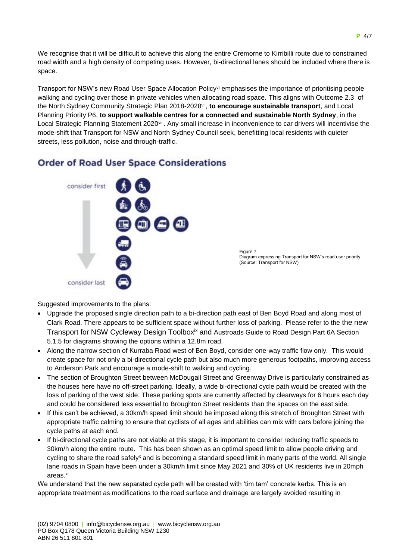We recognise that it will be difficult to achieve this along the entire Cremorne to Kirribilli route due to constrained road width and a high density of competing uses. However, bi-directional lanes should be included where there is space.

Transport for NSW's new Road User Space Allocation Policyvi emphasises the importance of prioritising people walking and cycling over those in private vehicles when allocating road space. This aligns with Outcome 2.3 of the North Sydney Community Strategic Plan 2018-2028<sup>vii</sup>, to encourage sustainable transport, and Local Planning Priority P6, **to support walkable centres for a connected and sustainable North Sydney**, in the Local Strategic Planning Statement 2020<sup>viii</sup>. Any small increase in inconvenience to car drivers will incentivise the mode-shift that Transport for NSW and North Sydney Council seek, benefitting local residents with quieter streets, less pollution, noise and through-traffic.

# **Order of Road User Space Considerations**



Figure 7: Diagram expressing Transport for NSW's road user priority. (Source: Transport for NSW)

Suggested improvements to the plans:

- Upgrade the proposed single direction path to a bi-direction path east of Ben Boyd Road and along most of Clark Road. There appears to be sufficient space without further loss of parking. Please refer to the the new Transport for NSW Cycleway Design Toolbox<sup>ix</sup> and Austroads Guide to Road Design Part 6A Section 5.1.5 for diagrams showing the options within a 12.8m road.
- Along the narrow section of Kurraba Road west of Ben Boyd, consider one-way traffic flow only. This would create space for not only a bi-directional cycle path but also much more generous footpaths, improving access to Anderson Park and encourage a mode-shift to walking and cycling.
- The section of Broughton Street between McDougall Street and Greenway Drive is particularly constrained as the houses here have no off-street parking. Ideally, a wide bi-directional cycle path would be created with the loss of parking of the west side. These parking spots are currently affected by clearways for 6 hours each day and could be considered less essential to Broughton Street residents than the spaces on the east side.
- If this can't be achieved, a 30km/h speed limit should be imposed along this stretch of Broughton Street with appropriate traffic calming to ensure that cyclists of all ages and abilities can mix with cars before joining the cycle paths at each end.
- If bi-directional cycle paths are not viable at this stage, it is important to consider reducing traffic speeds to 30km/h along the entire route. This has been shown as an optimal speed limit to allow people driving and cycling to share the road safely<sup>x</sup> and is becoming a standard speed limit in many parts of the world. All single lane roads in Spain have been under a 30km/h limit since May 2021 and 30% of UK residents live in 20mph areas.<sup>xi</sup>

We understand that the new separated cycle path will be created with 'tim tam' concrete kerbs. This is an appropriate treatment as modifications to the road surface and drainage are largely avoided resulting in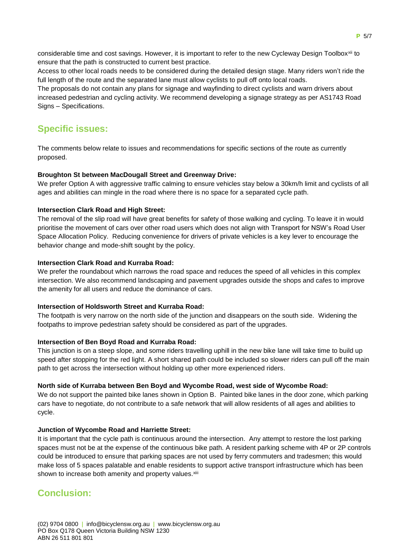considerable time and cost savings. However, it is important to refer to the new Cycleway Design Toolbox<sup>xii</sup> to ensure that the path is constructed to current best practice.

Access to other local roads needs to be considered during the detailed design stage. Many riders won't ride the full length of the route and the separated lane must allow cyclists to pull off onto local roads.

The proposals do not contain any plans for signage and wayfinding to direct cyclists and warn drivers about increased pedestrian and cycling activity. We recommend developing a signage strategy as per AS1743 Road Signs – Specifications.

# **Specific issues:**

The comments below relate to issues and recommendations for specific sections of the route as currently proposed.

#### **Broughton St between MacDougall Street and Greenway Drive:**

We prefer Option A with aggressive traffic calming to ensure vehicles stay below a 30km/h limit and cyclists of all ages and abilities can mingle in the road where there is no space for a separated cycle path.

#### **Intersection Clark Road and High Street:**

The removal of the slip road will have great benefits for safety of those walking and cycling. To leave it in would prioritise the movement of cars over other road users which does not align with Transport for NSW's Road User Space Allocation Policy. Reducing convenience for drivers of private vehicles is a key lever to encourage the behavior change and mode-shift sought by the policy.

#### **Intersection Clark Road and Kurraba Road:**

We prefer the roundabout which narrows the road space and reduces the speed of all vehicles in this complex intersection. We also recommend landscaping and pavement upgrades outside the shops and cafes to improve the amenity for all users and reduce the dominance of cars.

#### **Intersection of Holdsworth Street and Kurraba Road:**

The footpath is very narrow on the north side of the junction and disappears on the south side. Widening the footpaths to improve pedestrian safety should be considered as part of the upgrades.

#### **Intersection of Ben Boyd Road and Kurraba Road:**

This junction is on a steep slope, and some riders travelling uphill in the new bike lane will take time to build up speed after stopping for the red light. A short shared path could be included so slower riders can pull off the main path to get across the intersection without holding up other more experienced riders.

#### **North side of Kurraba between Ben Boyd and Wycombe Road, west side of Wycombe Road:**

We do not support the painted bike lanes shown in Option B. Painted bike lanes in the door zone, which parking cars have to negotiate, do not contribute to a safe network that will allow residents of all ages and abilities to cycle.

#### **Junction of Wycombe Road and Harriette Street:**

It is important that the cycle path is continuous around the intersection. Any attempt to restore the lost parking spaces must not be at the expense of the continuous bike path. A resident parking scheme with 4P or 2P controls could be introduced to ensure that parking spaces are not used by ferry commuters and tradesmen; this would make loss of 5 spaces palatable and enable residents to support active transport infrastructure which has been shown to increase both amenity and property values.<sup>xiii</sup>

## **Conclusion:**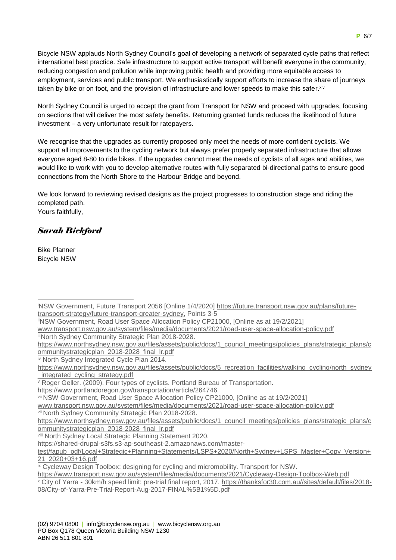Bicycle NSW applauds North Sydney Council's goal of developing a network of separated cycle paths that reflect international best practice. Safe infrastructure to support active transport will benefit everyone in the community, reducing congestion and pollution while improving public health and providing more equitable access to employment, services and public transport. We enthusiastically support efforts to increase the share of journeys taken by bike or on foot, and the provision of infrastructure and lower speeds to make this safer.<sup>xiv</sup>

North Sydney Council is urged to accept the grant from Transport for NSW and proceed with upgrades, focusing on sections that will deliver the most safety benefits. Returning granted funds reduces the likelihood of future investment – a very unfortunate result for ratepayers.

We recognise that the upgrades as currently proposed only meet the needs of more confident cyclists. We support all improvements to the cycling network but always prefer properly separated infrastructure that allows everyone aged 8-80 to ride bikes. If the upgrades cannot meet the needs of cyclists of all ages and abilities, we would like to work with you to develop alternative routes with fully separated bi-directional paths to ensure good connections from the North Shore to the Harbour Bridge and beyond.

We look forward to reviewing revised designs as the project progresses to construction stage and riding the completed path. Yours faithfully,

### *Sarah Bickford*

Bike Planner Bicycle NSW

iiiNorth Sydney Community Strategic Plan 2018-2028.

iv North Sydney Integrated Cycle Plan 2014.

https://www.portlandoregon.gov/transportation/article/264746

iNSW Government, Future Transport 2056 [Online 1/4/2020] [https://future.transport.nsw.gov.au/plans/future](https://future.transport.nsw.gov.au/plans/future-transport-strategy/future-transport-greater-sydney)[transport-strategy/future-transport-greater-sydney,](https://future.transport.nsw.gov.au/plans/future-transport-strategy/future-transport-greater-sydney) Points 3-5 1

iiNSW Government, Road User Space Allocation Policy CP21000, [Online as at 19/2/2021] [www.transport.nsw.gov.au/system/files/media/documents/2021/road-user-space-allocation-policy.pdf](http://www.transport.nsw.gov.au/system/files/media/documents/2021/road-user-space-allocation-policy.pdf)

[https://www.northsydney.nsw.gov.au/files/assets/public/docs/1\\_council\\_meetings/policies\\_plans/strategic\\_plans/c](https://www.northsydney.nsw.gov.au/files/assets/public/docs/1_council_meetings/policies_plans/strategic_plans/communitystrategicplan_2018-2028_final_lr.pdf) [ommunitystrategicplan\\_2018-2028\\_final\\_lr.pdf](https://www.northsydney.nsw.gov.au/files/assets/public/docs/1_council_meetings/policies_plans/strategic_plans/communitystrategicplan_2018-2028_final_lr.pdf)

[https://www.northsydney.nsw.gov.au/files/assets/public/docs/5\\_recreation\\_facilities/walking\\_cycling/north\\_sydney](https://www.northsydney.nsw.gov.au/files/assets/public/docs/5_recreation_facilities/walking_cycling/north_sydney_integrated_cycling_strategy.pdf) [\\_integrated\\_cycling\\_strategy.pdf](https://www.northsydney.nsw.gov.au/files/assets/public/docs/5_recreation_facilities/walking_cycling/north_sydney_integrated_cycling_strategy.pdf)

<sup>v</sup> Roger Geller. (2009). Four types of cyclists. Portland Bureau of Transportation.

vii NSW Government, Road User Space Allocation Policy CP21000, [Online as at 19/2/2021]

[www.transport.nsw.gov.au/system/files/media/documents/2021/road-user-space-allocation-policy.pdf](http://www.transport.nsw.gov.au/system/files/media/documents/2021/road-user-space-allocation-policy.pdf)

vii North Sydney Community Strategic Plan 2018-2028.

[https://www.northsydney.nsw.gov.au/files/assets/public/docs/1\\_council\\_meetings/policies\\_plans/strategic\\_plans/c](https://www.northsydney.nsw.gov.au/files/assets/public/docs/1_council_meetings/policies_plans/strategic_plans/communitystrategicplan_2018-2028_final_lr.pdf) [ommunitystrategicplan\\_2018-2028\\_final\\_lr.pdf](https://www.northsydney.nsw.gov.au/files/assets/public/docs/1_council_meetings/policies_plans/strategic_plans/communitystrategicplan_2018-2028_final_lr.pdf)

viii North Sydney Local Strategic Planning Statement 2020.

[https://shared-drupal-s3fs.s3-ap-southeast-2.amazonaws.com/master-](https://shared-drupal-s3fs.s3-ap-southeast-2.amazonaws.com/master-test/fapub_pdf/Local+Strategic+Planning+Statements/LSPS+2020/North+Sydney+LSPS_Master+Copy_Version+21_2020+03+16.pdf)

[test/fapub\\_pdf/Local+Strategic+Planning+Statements/LSPS+2020/North+Sydney+LSPS\\_Master+Copy\\_Version+](https://shared-drupal-s3fs.s3-ap-southeast-2.amazonaws.com/master-test/fapub_pdf/Local+Strategic+Planning+Statements/LSPS+2020/North+Sydney+LSPS_Master+Copy_Version+21_2020+03+16.pdf) [21\\_2020+03+16.pdf](https://shared-drupal-s3fs.s3-ap-southeast-2.amazonaws.com/master-test/fapub_pdf/Local+Strategic+Planning+Statements/LSPS+2020/North+Sydney+LSPS_Master+Copy_Version+21_2020+03+16.pdf)

ix Cycleway Design Toolbox: designing for cycling and micromobility. Transport for NSW.

<https://www.transport.nsw.gov.au/system/files/media/documents/2021/Cycleway-Design-Toolbox-Web.pdf>

<sup>x</sup> City of Yarra - 30km/h speed limit: pre-trial final report, 2017. [https://thanksfor30.com.au//sites/default/files/2018-](https://thanksfor30.com.au/sites/default/files/2018-08/City-of-Yarra-Pre-Trial-Report-Aug-2017-FINAL%5B1%5D.pdf) [08/City-of-Yarra-Pre-Trial-Report-Aug-2017-FINAL%5B1%5D.pdf](https://thanksfor30.com.au/sites/default/files/2018-08/City-of-Yarra-Pre-Trial-Report-Aug-2017-FINAL%5B1%5D.pdf)